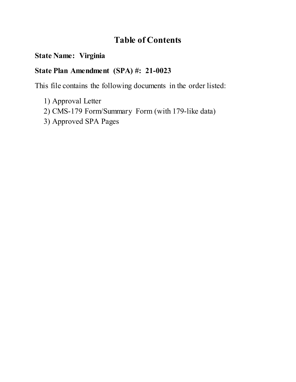# **Table of Contents**

# **State Name: Virginia**

# **State Plan Amendment (SPA) #: 21-0023**

This file contains the following documents in the order listed:

- 1) Approval Letter
- 2) CMS-179 Form/Summary Form (with 179-like data)
- 3) Approved SPA Pages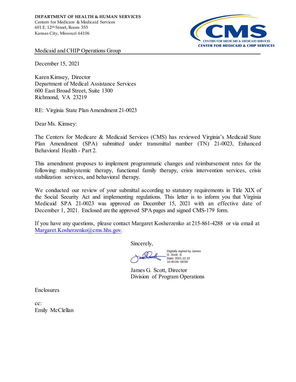

Medicaid and CHIP Operations Group

December 15, 2021

Karen Kimsey, Director Department of Medical Assistance Services 600 East Broad Street, Suite 1300 Richmond, VA 23219

RE: Virginia State Plan Amendment 21-0023

Dear Ms. Kimsey:

The Centers for Medicare & Medicaid Services (CMS) has reviewed Virginia's Medicaid State Plan Amendment (SPA) submitted under transmittal number (TN) 21-0023, Enhanced Behavioral Health - Part 2.

This amendment proposes to implement programmatic changes and reimbursement rates for the following: multisystemic therapy, functional family therapy, crisis intervention services, crisis stabilization services, and behavioral therapy.

We conducted our review of your submittal according to statutory requirements in Title XIX of the Social Security Act and implementing regulations. This letter is to inform you that Virginia Medicaid SPA 21-0023 was approved on December 15, 2021 with an effective date of December 1, 2021. Enclosed are the approved SPA pages and signed CMS-179 form.

If you have any questions, please contact Margaret Kosherzenko at 215-861-4288 or via email at [Margaret.Kosherzenko@cms.hhs.gov.](mailto:Margaret.Kosherzenko@cms.hhs.gov) 

Sincerely,

Digitally signed by James G. Scott -S Date: 2021.12.15 10:40:09 -06'00'

James G. Scott, Director Division of Program Operations

**Enclosures** 

cc: Emily McClellan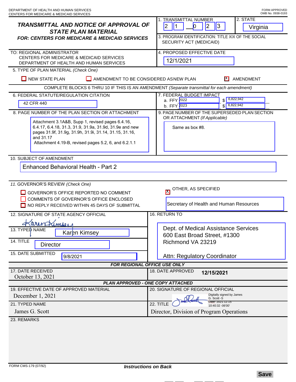| TRANSMITTAL AND NOTICE OF APPROVAL OF                                                                             | 2. STATE<br>1. TRANSMITTAL NUMBER                                    |
|-------------------------------------------------------------------------------------------------------------------|----------------------------------------------------------------------|
| <b>STATE PLAN MATERIAL</b>                                                                                        | 2 <br>$\overline{2}$<br>3<br>11<br>$\Omega$<br>Virginia              |
| <b>FOR: CENTERS FOR MEDICARE &amp; MEDICAID SERVICES</b>                                                          | 3. PROGRAM IDENTIFICATION: TITLE XIX OF THE SOCIAL                   |
|                                                                                                                   | SECURITY ACT (MEDICAID)                                              |
| TO: REGIONAL ADMINISTRATOR                                                                                        | 4. PROPOSED EFFECTIVE DATE                                           |
| CENTERS FOR MEDICARE & MEDICAID SERVICES<br>DEPARTMENT OF HEALTH AND HUMAN SERVICES                               | 12/1/2021                                                            |
| 5. TYPE OF PLAN MATERIAL (Check One)                                                                              |                                                                      |
| $\Box$ NEW STATE PLAN<br>AMENDMENT TO BE CONSIDERED ASNEW PLAN                                                    | AMENDMENT<br>IX I                                                    |
| COMPLETE BLOCKS 6 THRU 10 IF THIS IS AN AMENDMENT (Separate transmittal for each amendment)                       |                                                                      |
| 6. FEDERAL STATUTE/REGULATION CITATION                                                                            | 7. FEDERAL BUDGET IMPACT<br>6,822,942<br>a. FFY 2022<br>\$           |
| 42 CFR 440                                                                                                        | $$ \boxed{6,822,942}$<br>b. FFY 2023                                 |
| 8. PAGE NUMBER OF THE PLAN SECTION OR ATTACHMENT                                                                  | 9. PAGE NUMBER OF THE SUPERSEDED PLAN SECTION                        |
| Attachment 3.1A&B, Supp 1, revised pages 6.4.16,                                                                  | OR ATTACHMENT (If Applicable)                                        |
| 6.4.17, 6.4.18, 31.3, 31.9, 31.9a, 31.9d, 31.9e and new<br>pages 31.9f, 31.9g, 31.9h, 31.9i, 31.14, 31.15, 31.16, | Same as box #8.                                                      |
| and 31.17                                                                                                         |                                                                      |
| Attachment 4.19-B, revised pages 5.2, 6, and 6.2.1.1                                                              |                                                                      |
|                                                                                                                   |                                                                      |
| 10. SUBJECT OF AMENDMENT                                                                                          |                                                                      |
| <b>Enhanced Behavioral Health - Part 2</b>                                                                        |                                                                      |
|                                                                                                                   |                                                                      |
| 11. GOVERNOR'S REVIEW (Check One)                                                                                 |                                                                      |
| GOVERNOR'S OFFICE REPORTED NO COMMENT                                                                             | OTHER, AS SPECIFIED<br>$\overline{\mathsf{M}}$                       |
| COMMENTS OF GOVERNOR'S OFFICE ENCLOSED                                                                            |                                                                      |
| NO REPLY RECEIVED WITHIN 45 DAYS OF SUBMITTAL                                                                     | Secretary of Health and Human Resources                              |
| 12. SIGNATURE OF STATE AGENCY OFFICIAL                                                                            | 16. RETURN TO                                                        |
| arenkimsey                                                                                                        |                                                                      |
| 13. TYPED NAME<br>Karen Kimsey                                                                                    | Dept. of Medical Assistance Services<br>600 East Broad Street, #1300 |
| 14. TITLE                                                                                                         | Richmond VA 23219                                                    |
| <b>Director</b>                                                                                                   |                                                                      |
| 15. DATE SUBMITTED<br>9/8/2021                                                                                    | Attn: Regulatory Coordinator                                         |
| <b>FOR REGIONAL OFFICE USE ONLY</b>                                                                               |                                                                      |
| 17. DATE RECEIVED                                                                                                 | 18. DATE APPROVED<br>12/15/2021                                      |
| October 13, 2021<br>PLAN APPROVED - ONE COPY ATTACHED                                                             |                                                                      |
| 19. EFFECTIVE DATE OF APPROVED MATERIAL                                                                           | 20. SIGNATURE OF REGIONAL OFFICIAL                                   |
| December 1, 2021                                                                                                  | Digitally signed by James<br>G. Scott -S                             |
| 21. TYPED NAME                                                                                                    | Date: 2021.12.15<br>22. TITLE<br>10:40:32 -06'00                     |
| James G. Scott                                                                                                    | Director, Division of Program Operations                             |
| 23. REMARKS                                                                                                       |                                                                      |
|                                                                                                                   |                                                                      |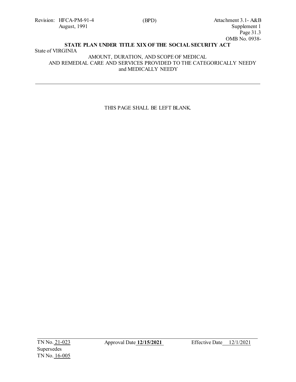# **STATE PLAN UNDER TITLE XIX OF THE SOCIAL SECURITY ACT** State of VIRGINIA AMOUNT, DURATION, AND SCOPE OF MEDICAL

AND REMEDIAL CARE AND SERVICES PROVIDED TO THE CATEGORICALLY NEEDY and MEDICALLY NEEDY

THIS PAGE SHALL BE LEFT BLANK.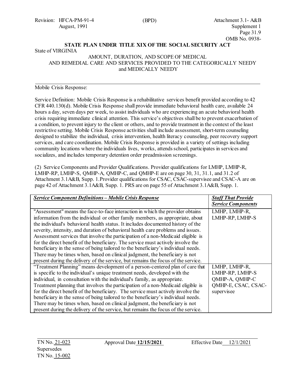# **STATE PLAN UNDER TITLE XIX OF THE SOCIAL SECURITY ACT** State of VIRGINIA AMOUNT, DURATION, AND SCOPE OF MEDICAL

AND REMEDIAL CARE AND SERVICES PROVIDED TO THE CATEGORICALLY NEEDY and MEDICALLY NEEDY

# Mobile Crisis Response:

Service Definition: Mobile Crisis Response is a rehabilitative services benefit provided according to 42 CFR 440.130(d). Mobile Crisis Response shall provide immediate behavioral health care, available 24 hours a day, seven days per week, to assist individuals who are experiencing an acute behavioral health crisis requiring immediate clinical attention. This service's objectives shall be to prevent exacerbation of a condition, to prevent injury to the client or others, and to provide treatment in the context of the least restrictive setting. Mobile Crisis Response activities shall include assessment, short-term counseling designed to stabilize the individual, crisis intervention, health literacy counseling, peer recovery support services, and care coordination. Mobile Crisis Response is provided in a variety of settings including community locations where the individuals lives, works, attends school, participates in services and socializes, and includes temporary detention order preadmission screenings.

(2) Service Components and Provider Qualifications. Provider qualifications for LMHP, LMHP-R, LMHP-RP, LMHP-S, QMHP-A, QMHP-C, and QMHP-E are on page 30, 31, 31.1, and 31.2 of Attachment 3.1A&B, Supp. 1.Provider qualifications for CSAC, CSAC-supervisee and CSAC-A are on page 42 of Attachment 3.1A&B, Supp. 1. PRS are on page 55 of Attachment 3.1A&B, Supp. 1.

| <b>Service Component Definitions - Mobile Crisis Response</b>                     | <b>Staff That Provide</b> |
|-----------------------------------------------------------------------------------|---------------------------|
|                                                                                   | <b>Service Components</b> |
| "Assessment" means the face-to-face interaction in which the provider obtains     | LMHP, LMHP-R,             |
| information from the individual or other family members, as appropriate, about    | LMHP-RP, LMHP-S           |
| the individual's behavioral health status. It includes documented history of the  |                           |
| severity, intensity, and duration of behavioral health care problems and issues.  |                           |
| Assessment services that involve the participation of a non-Medicaid eligible is  |                           |
| for the direct benefit of the beneficiary. The service must actively involve the  |                           |
| beneficiary in the sense of being tailored to the beneficiary's individual needs. |                           |
| There may be times when, based on clinical judgment, the beneficiary is not       |                           |
| present during the delivery of the service, but remains the focus of the service. |                           |
| "Treatment Planning" means development of a person-centered plan of care that     | LMHP, LMHP-R,             |
| is specific to the individual's unique treatment needs, developed with the        | LMHP-RP, LMHP-S           |
| individual, in consultation with the individual's family, as appropriate.         | QMHP-A, QMHP-C            |
| Treatment planning that involves the participation of a non-Medicaid eligible is  | QMHP-E, CSAC, CSAC-       |
| for the direct benefit of the beneficiary. The service must actively involve the  | supervisee                |
| beneficiary in the sense of being tailored to the beneficiary's individual needs. |                           |
| There may be times when, based on clinical judgment, the beneficiary is not       |                           |
| present during the delivery of the service, but remains the focus of the service. |                           |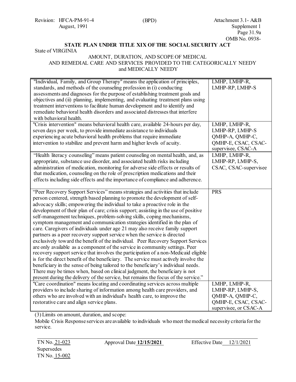# **STATE PLAN UNDER TITLE XIX OF THE SOCIAL SECURITY ACT**

State of VIRGINIA

## AMOUNT, DURATION, AND SCOPE OF MEDICAL AND REMEDIAL CARE AND SERVICES PROVIDED TO THE CATEGORICALLY NEEDY and MEDICALLY NEEDY

| "Individual, Family, and Group Therapy" means the application of principles,<br>standards, and methods of the counseling profession in (i) conducting<br>assessments and diagnoses for the purpose of establishing treatment goals and<br>objectives and (ii) planning, implementing, and evaluating treatment plans using                                                                                                                                                                                                                                                                                                                                                                                                                                                                                                                                                                                                                                                                                                                                                                                                                                                                                                                                        | LMHP, LMHP-R,<br>LMHP-RP, LMHP-S                                                                     |
|-------------------------------------------------------------------------------------------------------------------------------------------------------------------------------------------------------------------------------------------------------------------------------------------------------------------------------------------------------------------------------------------------------------------------------------------------------------------------------------------------------------------------------------------------------------------------------------------------------------------------------------------------------------------------------------------------------------------------------------------------------------------------------------------------------------------------------------------------------------------------------------------------------------------------------------------------------------------------------------------------------------------------------------------------------------------------------------------------------------------------------------------------------------------------------------------------------------------------------------------------------------------|------------------------------------------------------------------------------------------------------|
| treatment interventions to facilitate human development and to identify and<br>remediate behavioral health disorders and associated distresses that interfere<br>with behavioral health.                                                                                                                                                                                                                                                                                                                                                                                                                                                                                                                                                                                                                                                                                                                                                                                                                                                                                                                                                                                                                                                                          |                                                                                                      |
| "Crisis intervention" means behavioral health care, available 24-hours per day,<br>seven days per week, to provide immediate assistance to individuals<br>experiencing acute behavioral health problems that require immediate<br>intervention to stabilize and prevent harm and higher levels of acuity.                                                                                                                                                                                                                                                                                                                                                                                                                                                                                                                                                                                                                                                                                                                                                                                                                                                                                                                                                         | LMHP, LMHP-R,<br>LMHP-RP, LMHP-S<br>QMHP-A, QMHP-C,<br>QMHP-E, CSAC, CSAC-<br>supervisee, CSAC-A     |
| "Health literacy counseling" means patient counseling on mental health, and, as<br>appropriate, substance use disorder, and associated health risks including<br>administration of medication, monitoring for adverse side effects or results of<br>that medication, counseling on the role of prescription medications and their<br>effects including side effects and the importance of compliance and adherence.                                                                                                                                                                                                                                                                                                                                                                                                                                                                                                                                                                                                                                                                                                                                                                                                                                               | LMHP, LMHP-R,<br>LMHP-RP, LMHP-S,<br>CSAC, CSAC-supervisee                                           |
| "Peer Recovery Support Services" means strategies and activities that include<br>person centered, strength based planning to promote the development of self-<br>advocacy skills; empowering the individual to take a proactive role in the<br>development of their plan of care; crisis support; assisting in the use of positive<br>self-management techniques, problem-solving skills, coping mechanisms,<br>symptom management and communication strategies identified in the plan of<br>care. Caregivers of individuals under age 21 may also receive family support<br>partners as a peer recovery support service when the service is directed<br>exclusively toward the benefit of the individual. Peer Recovery Support Services<br>are only available as a component of the service in community settings. Peer<br>recovery support service that involves the participation of a non-Medicaid eligible<br>is for the direct benefit of the beneficiary. The service must actively involve the<br>beneficiary in the sense of being tailored to the beneficiary's individual needs.<br>There may be times when, based on clinical judgment, the beneficiary is not<br>present during the delivery of the service, but remains the focus of the service." | PRS                                                                                                  |
| "Care coordination" means locating and coordinating services across multiple<br>providers to include sharing of information among health care providers, and<br>others who are involved with an individual's health care, to improve the<br>restorative care and align service plans.                                                                                                                                                                                                                                                                                                                                                                                                                                                                                                                                                                                                                                                                                                                                                                                                                                                                                                                                                                             | LMHP, LMHP-R,<br>LMHP-RP, LMHP-S,<br>QMHP-A, QMHP-C,<br>QMHP-E, CSAC, CSAC-<br>supervisee, or CSAC-A |

(3) Limits on amount, duration, and scope:

Mobile Crisis Response services are available to individuals whomeet themedical necessity criteria for the service.

TN No. 21-023 Supersedes TN No. 15-002

Approval Date **12/15/2021** Effective Date 12/1/2021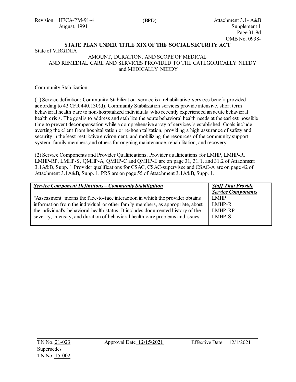#### **STATE PLAN UNDER TITLE XIX OF THE SOCIAL SECURITY ACT** State of VIRGINIA AMOUNT, DURATION, AND SCOPE OF MEDICAL AND REMEDIAL CARE AND SERVICES PROVIDED TO THE CATEGORICALLY NEEDY

# and MEDICALLY NEEDY

## Community Stabilization

(1) Service definition: Community Stabilization service is a rehabilitative services benefit provided according to 42 CFR 440.130(d). Community Stabilization services provide intensive, short term behavioral health care to non-hospitalized individuals who recently experienced an acute behavioral health crisis. The goal is to address and stabilize the acute behavioral health needs at the earliest possible time to prevent decompensation while a comprehensive array of services is established. Goals include averting the client from hospitalization or re-hospitalization, providing a high assurance of safety and security in the least restrictive environment, and mobilizing the resources of the community support system, family members,and others for ongoing maintenance, rehabilitation, and recovery.

(2) Service Components and Provider Qualifications. Provider qualifications for LMHP, LMHP-R, LMHP-RP, LMHP-S, QMHP-A, QMHP-C and QMHP-E are on page 31, 31.1, and 31.2 of Attachment 3.1A&B, Supp. 1.Provider qualifications for CSAC, CSAC-supervisee and CSAC-A are on page 42 of Attachment 3.1A&B, Supp. 1. PRS are on page 55 of Attachment 3.1A&B, Supp. 1.

|                                                                                                                                                                                                                                                                                                                                                                                              | <b>Staff That Provide</b><br><b>Service Components</b> |
|----------------------------------------------------------------------------------------------------------------------------------------------------------------------------------------------------------------------------------------------------------------------------------------------------------------------------------------------------------------------------------------------|--------------------------------------------------------|
| "Assessment" means the face-to-face interaction in which the provider obtains<br><b>LMHP</b><br>information from the individual or other family members, as appropriate, about<br>LMHP-R<br>the individual's behavioral health status. It includes documented history of the<br><b>LMHP-RP</b><br>severity, intensity, and duration of behavioral health care problems and issues.<br>LMHP-S |                                                        |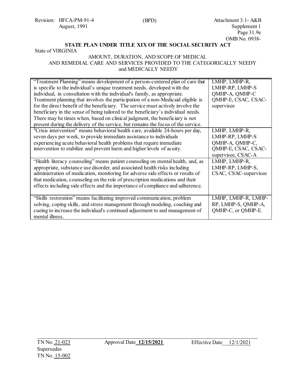# **STATE PLAN UNDER TITLE XIX OF THE SOCIAL SECURITY ACT**

State of VIRGINIA

### AMOUNT, DURATION, AND SCOPE OF MEDICAL AND REMEDIAL CARE AND SERVICES PROVIDED TO THE CATEGORICALLY NEEDY and MEDICALLY NEEDY

| "Treatment Planning" means development of a person-centered plan of care that     | LMHP, LMHP-R,         |
|-----------------------------------------------------------------------------------|-----------------------|
| is specific to the individual's unique treatment needs, developed with the        | LMHP-RP, LMHP-S       |
| individual, in consultation with the individual's family, as appropriate.         | QMHP-A, QMHP-C        |
| Treatment planning that involves the participation of a non-Medicaid eligible is  | QMHP-E, CSAC, CSAC-   |
| for the direct benefit of the beneficiary. The service must actively involve the  | supervisee            |
| beneficiary in the sense of being tailored to the beneficiary's individual needs. |                       |
| There may be times when, based on clinical judgment, the beneficiary is not       |                       |
| present during the delivery of the service, but remains the focus of the service. |                       |
| "Crisis intervention" means behavioral health care, available 24-hours per day,   | LMHP, LMHP-R,         |
| seven days per week, to provide immediate assistance to individuals               | LMHP-RP, LMHP-S       |
| experiencing acute behavioral health problems that require immediate              | QMHP-A, QMHP-C,       |
| intervention to stabilize and prevent harm and higher levels of acuity.           | QMHP-E, CSAC, CSAC-   |
|                                                                                   | supervisee, CSAC-A    |
| "Health literacy counseling" means patient counseling on mental health, and, as   | LMHP, LMHP-R,         |
| appropriate, substance use disorder, and associated health risks including        | LMHP-RP, LMHP-S,      |
| administration of medication, monitoring for adverse side effects or results of   | CSAC, CSAC-supervisee |
| that medication, counseling on the role of prescription medications and their     |                       |
| effects including side effects and the importance of compliance and adherence.    |                       |
|                                                                                   |                       |
| "Skills restoration" means facilitating improved communication, problem           | LMHP, LMHP-R, LMHP-   |
| solving, coping skills, and stress management through modeling, coaching and      | RP, LMHP-S, QMHP-A,   |
| cueing to increase the individual's continued adjustment to and management of     | QMHP-C, or QMHP-E.    |
| mental illness.                                                                   |                       |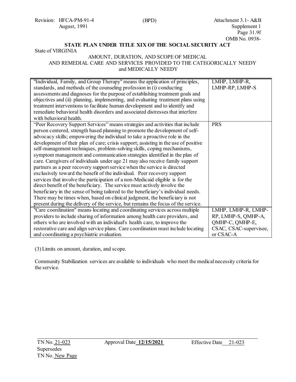# **STATE PLAN UNDER TITLE XIX OF THE SOCIAL SECURITY ACT**

State of VIRGINIA

## AMOUNT, DURATION, AND SCOPE OF MEDICAL AND REMEDIAL CARE AND SERVICES PROVIDED TO THE CATEGORICALLY NEEDY and MEDICALLY NEEDY

| "Individual, Family, and Group Therapy" means the application of principles,        | LMHP, LMHP-R,          |
|-------------------------------------------------------------------------------------|------------------------|
| standards, and methods of the counseling profession in (i) conducting               | LMHP-RP, LMHP-S        |
| assessments and diagnoses for the purpose of establishing treatment goals and       |                        |
| objectives and (ii) planning, implementing, and evaluating treatment plans using    |                        |
| treatment interventions to facilitate human development and to identify and         |                        |
| remediate behavioral health disorders and associated distresses that interfere      |                        |
| with behavioral health.                                                             |                        |
|                                                                                     | <b>PRS</b>             |
| "Peer Recovery Support Services" means strategies and activities that include       |                        |
| person centered, strength based planning to promote the development of self-        |                        |
| advocacy skills; empowering the individual to take a proactive role in the          |                        |
| development of their plan of care; crisis support; assisting in the use of positive |                        |
| self-management techniques, problem-solving skills, coping mechanisms,              |                        |
| symptom management and communication strategies identified in the plan of           |                        |
| care. Caregivers of individuals under age 21 may also receive family support        |                        |
| partners as a peer recovery support service when the service is directed            |                        |
| exclusively toward the benefit of the individual. Peer recovery support             |                        |
| services that involve the participation of a non-Medicaid eligible is for the       |                        |
| direct benefit of the beneficiary. The service must actively involve the            |                        |
| beneficiary in the sense of being tailored to the beneficiary's individual needs.   |                        |
| There may be times when, based on clinical judgment, the beneficiary is not         |                        |
| present during the delivery of the service, but remains the focus of the service.   |                        |
| "Care coordination" means locating and coordinating services across multiple        | LMHP, LMHP-R, LMHP-    |
| providers to include sharing of information among health care providers, and        | RP, LMHP-S, QMHP-A,    |
| others who are involved with an individual's health care, to improve the            | QMHP-C, QMHP-E,        |
| restorative care and align service plans. Care coordination must include locating   | CSAC, CSAC-supervisee, |
| and coordinating a psychiatric evaluation.                                          | or CSAC-A              |

(3) Limits on amount, duration, and scope.

Community Stabilization services are available to individuals who meet the medical necessity criteria for the service.

Approval Date **12/15/2021** Effective Date 21-023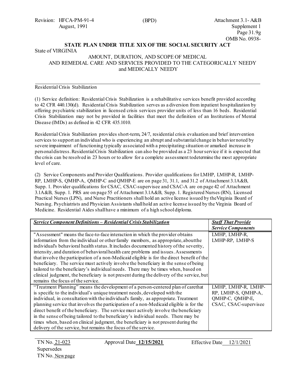#### **STATE PLAN UNDER TITLE XIX OF THE SOCIAL SECURITY ACT** State of VIRGINIA AMOUNT, DURATION, AND SCOPE OF MEDICAL AND REMEDIAL CARE AND SERVICES PROVIDED TO THE CATEGORICALLY NEEDY and MEDICALLY NEEDY

#### Residential Crisis Stabilization

(1) Service definition: Residential Crisis Stabilization is a rehabilitative services benefit provided according to 42 CFR 440.130(d). Residential Crisis Stabilization serves as a diversion from inpatient hospitalization by offering psychiatric stabilization in licensed crisis services provider units of less than 16 beds. Residential Crisis Stabilization may not be provided in facilities that meet the definition of an Institutions of Mental Disease (IMDs) as defined in 42 CFR 435.1010.

Residential Crisis Stabilization provides short-term, 24/7, residential crisis evaluation and brief intervention services to support an individual who is experiencing an abrupt and substantial change in behavior noted by severe impairment of functioning typically associated with a precipitating situation or amarked increase in personal distress.Residential Crisis Stabilization can also be provided as a 23 hourservice if it is expected that the crisis can be resolved in 23 hours or to allow for a complete assessment todetermine the most appropriate level of care.

(2) Service Components and Provider Qualifications. Provider qualifications for LMHP, LMHP-R, LMHP-RP, LMHP-S, QMHP-A, QMHP-C and QMHP-E are on page 31, 31.1, and 31.2 of Attachment 3.1A&B, Supp. 1. Provider qualifications for CSAC, CSAC-supervisee and CSAC-A are on page 42 of Attachment 3.1A&B, Supp. 1. PRS are on page 55 of Attachment 3.1A&B, Supp. 1. Registered Nurses (RN), Licensed Practical Nurses (LPN), and Nurse Practitioners shall hold an active license issued by theVirginia Board of Nursing. Psychiatrists and Physician Assistants shall hold an active license issued by the Virginia Board of Medicine. Residential Aides shall have a minimum of a high schooldiploma.

| <b>Service Component Definitions - Residential Crisis Stabilization</b>                    | <b>Staff That Provide</b> |
|--------------------------------------------------------------------------------------------|---------------------------|
|                                                                                            | <b>Service Components</b> |
| "Assessment" means the face-to-face interaction in which the provider obtains              | LMHP, LMHP-R,             |
| information from the individual or other family members, as appropriate, about the         | LMHP-RP, LMHP-S           |
| individual's behavioral health status. It includes documented history of the severity,     |                           |
| intensity, and duration of behavioral health care problems and issues. Assessments         |                           |
| that involve the participation of a non-Medicaid eligible is for the direct benefit of the |                           |
| beneficiary. The service must actively involve the beneficiary in the sense of being       |                           |
| tailored to the beneficiary's individual needs. There may be times when, based on          |                           |
| clinical judgment, the beneficiary is not present during the delivery of the service, but  |                           |
| remains the focus of the service.                                                          |                           |
| "Treatment Planning" means the development of a person-centered plan of carethat           | LMHP, LMHP-R, LMHP-       |
| is specific to the individual's unique treatment needs, developed with the                 | RP, LMHP-S, QMHP-A,       |
| individual, in consultation with the individual's family, as appropriate. Treatment        | QMHP-C, QMHP-E,           |
| planning service that involves the participation of a non-Medicaid eligible is for the     | CSAC, CSAC-supervisee     |
| direct benefit of the beneficiary. The service must actively involve the beneficiary       |                           |
| in the sense of being tailored to the beneficiary's individual needs. There may be         |                           |
| times when, based on clinical judgment, the beneficiary is not present during the          |                           |
| delivery of the service, but remains the focus of the service.                             |                           |

Approval Date **12/15/2021** Effective Date 12/1/2021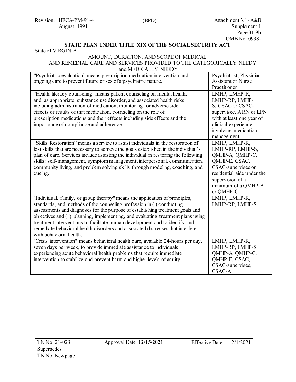# **STATE PLAN UNDER TITLE XIX OF THE SOCIAL SECURITY ACT**

State of VIRGINIA

## AMOUNT, DURATION, AND SCOPE OF MEDICAL AND REMEDIAL CARE AND SERVICES PROVIDED TO THE CATEGORICALLY NEEDY and MEDICALLY NEEDY

| "Psychiatric evaluation" means prescription medication intervention and<br>ongoing care to prevent future crises of a psychiatric nature.                                                                                                                                                                                                                                                                                                                                                                             | Psychiatrist, Physician<br><b>Assistant or Nurse</b><br>Practitioner                                                                                                               |
|-----------------------------------------------------------------------------------------------------------------------------------------------------------------------------------------------------------------------------------------------------------------------------------------------------------------------------------------------------------------------------------------------------------------------------------------------------------------------------------------------------------------------|------------------------------------------------------------------------------------------------------------------------------------------------------------------------------------|
| "Health literacy counseling" means patient counseling on mental health,<br>and, as appropriate, substance use disorder, and associated health risks<br>including administration of medication, monitoring for adverse side<br>effects or results of that medication, counseling on the role of<br>prescription medications and their effects including side effects and the<br>importance of compliance and adherence.                                                                                                | LMHP, LMHP-R,<br>LMHP-RP, LMHP-<br>S, CSAC or CSAC-<br>supervisee. ARN or LPN<br>with at least one year of<br>clinical experience<br>involving medication<br>management            |
| "Skills Restoration" means a service to assist individuals in the restoration of<br>lost skills that are necessary to achieve the goals established in the individual's<br>plan of care. Services include assisting the individual in restoring the following<br>skills: self-management, symptom management, interpersonal, communication,<br>community living, and problem solving skills through modeling, coaching, and<br>cueing.                                                                                | LMHP, LMHP-R,<br>LMHP-RP, LMHP-S,<br>QMHP-A, QMHP-C,<br>QMHP-E, CSAC,<br>CSAC-supervisee or<br>residential aide under the<br>supervision of a<br>minimum of a QMHP-A<br>or QMHP-C. |
| "Individual, family, or group therapy" means the application of principles,<br>standards, and methods of the counseling profession in (i) conducting<br>assessments and diagnoses for the purpose of establishing treatment goals and<br>objectives and (ii) planning, implementing, and evaluating treatment plans using<br>treatment interventions to facilitate human development and to identify and<br>remediate behavioral health disorders and associated distresses that interfere<br>with behavioral health. | LMHP, LMHP-R,<br>LMHP-RP, LMHP-S                                                                                                                                                   |
| "Crisis intervention" means behavioral health care, available 24-hours per day,<br>seven days per week, to provide immediate assistance to individuals<br>experiencing acute behavioral health problems that require immediate<br>intervention to stabilize and prevent harm and higher levels of acuity.                                                                                                                                                                                                             | LMHP, LMHP-R,<br>LMHP-RP, LMHP-S<br>QMHP-A, QMHP-C,<br>QMHP-E, CSAC,<br>CSAC-supervisee,<br>CSAC-A                                                                                 |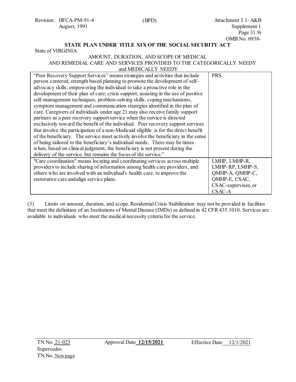# **STATE PLAN UNDER TITLE XIX OF THE SOCIAL SECURITY ACT**

State of VIRGINIA

#### AMOUNT, DURATION, AND SCOPE OF MEDICAL AND REMEDIAL CARE AND SERVICES PROVIDED TO THE CATEGORICALLY NEEDY and MEDICALLY NEEDY

| ang melotonel i Incelo I<br>"Peer Recovery Support Services" means strategies and activities that include | <b>PRS</b>          |
|-----------------------------------------------------------------------------------------------------------|---------------------|
| person centered, strength based planning to promote the development of self-                              |                     |
| advocacy skills; empowering the individual to take a proactive role in the                                |                     |
| development of their plan of care; crisis support; assisting in the use of positive                       |                     |
| self-management techniques, problem-solving skills, coping mechanisms,                                    |                     |
| symptom management and communication strategies identified in the plan of                                 |                     |
| care. Caregivers of individuals under age 21 may also receive family support                              |                     |
| partners as a peer recovery support service when the service is directed                                  |                     |
| exclusively toward the benefit of the individual. Peer recovery support services                          |                     |
| that involve the participation of a non-Medicaid eligible is for the direct benefit                       |                     |
| of the beneficiary. The service must actively involve the beneficiary in the sense                        |                     |
| of being tailored to the beneficiary's individual needs. There may be times                               |                     |
| when, based on clinical judgment, the beneficiary is not present during the                               |                     |
| delivery of the service, but remains the focus of the service."                                           |                     |
| "Care coordination" means locating and coordinating services across multiple                              | LMHP, LMHP-R,       |
| providers to include sharing of information among health care providers, and                              | LMHP-RP, LMHP-S,    |
| others who are involved with an individual's health care, to improve the                                  | QMHP-A, QMHP-C,     |
| restorative care and align service plans.                                                                 | QMHP-E, CSAC,       |
|                                                                                                           | CSAC-supervisee, or |
|                                                                                                           | CSAC-A              |

(3) Limits on amount, duration, and scope. Residential Crisis Stabilization may not be provided in facilities that meet the definition of an Institutions of Mental Disease (IMDs) as defined in 42 CFR 435.1010. Services are available to individuals who meet the medical necessity criteria for the service.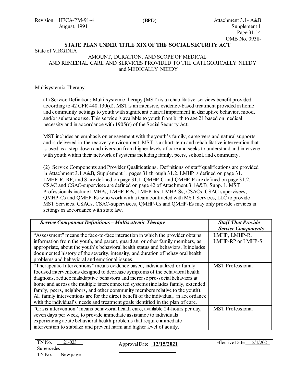#### **STATE PLAN UNDER TITLE XIX OF THE SOCIAL SECURITY ACT** State of VIRGINIA AMOUNT, DURATION, AND SCOPE OF MEDICAL AND REMEDIAL CARE AND SERVICES PROVIDED TO THE CATEGORICALLY NEEDY

#### and MEDICALLY NEEDY

## Multisystemic Therapy

(1) Service Definition: Multi-systemic therapy (MST) is a rehabilitative services benefit provided according to 42 CFR 440.130(d). MST is an intensive, evidence-based treatment provided in home and community settings to youth with significant clinical impairment in disruptive behavior, mood, and/or substance use. This service is available to youth from birth to age 21 based on medical necessity and in accordance with 1905(r) of the Social Security Act.

MST includes an emphasis on engagement with the youth's family, caregivers and natural supports and is delivered in the recovery environment. MST is a short-term and rehabilitative intervention that is used as a step-down and diversion from higher levels of care and seeks to understand and intervene with youth within their network of systems including family, peers, school, and community.

(2) Service Components and Provider Qualifications. Definitions of staff qualifications are provided in Attachment 3.1 A&B, Supplement 1, pages 31 through 31.2. LMHP is defined on page 31. LMHP-R, RP, and S are defined on page 31.1. QMHP-C and QMHP-E are defined on page 31.2. CSAC and CSAC-supervisee are defined on page 42 of Attachment 3.1A&B, Supp. 1. MST Professionals include LMHPs, LMHP-RPs, LMHP-Rs, LMHP-Ss, CSACs, CSAC-supervisees, QMHP-Cs and QMHP-Es who work with a team contracted with MST Services, LLC to provide MST Services. CSACs, CSAC-supervisees, QMHP-Cs and QMHP-Es may only provide services in settings in accordance with state law.

| <b>Service Component Definitions - Multisystemic Therapy</b>                         | <b>Staff That Provide</b> |
|--------------------------------------------------------------------------------------|---------------------------|
|                                                                                      | <b>Service Components</b> |
| "Assessment" means the face-to-face interaction in which the provider obtains        | LMHP, LMHP-R,             |
| information from the youth, and parent, guardian, or other family members, as        | LMHP-RP or LMHP-S         |
| appropriate, about the youth's behavioral health status and behaviors. It includes   |                           |
| documented history of the severity, intensity, and duration of behavioral health     |                           |
| problems and behavioral and emotional issues.                                        |                           |
| "Therapeutic Interventions" means evidence based, individualized or family           | <b>MST</b> Professional   |
| focused interventions designed to decrease symptoms of the behavioral health         |                           |
| diagnosis, reduce maladaptive behaviors and increase pro-social behaviors at         |                           |
| home and across the multiple interconnected systems (includes family, extended       |                           |
| family, peers, neighbors, and other community members relative to the youth).        |                           |
| All family interventions are for the direct benefit of the individual, in accordance |                           |
| with the individual's needs and treatment goals identified in the plan of care.      |                           |
| "Crisis intervention" means behavioral health care, available 24-hours per day,      | <b>MST</b> Professional   |
| seven days per week, to provide immediate assistance to individuals                  |                           |
| experiencing acute behavioral health problems that require immediate                 |                           |
| intervention to stabilize and prevent harm and higher level of acuity.               |                           |

TN No. 21-023 TN No. 21-023<br>Supersedes ApprovalDate 12/15/2021<br>Supersedes Effective Date 12/1/2021 TN No. Newpage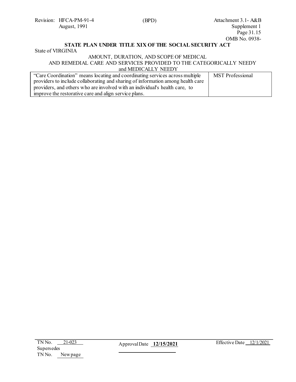# **STATE PLAN UNDER TITLE XIX OF THE SOCIAL SECURITY ACT**

State of VIRGINIA

## AMOUNT, DURATION, AND SCOPE OF MEDICAL AND REMEDIAL CARE AND SERVICES PROVIDED TO THE CATEGORICALLY NEEDY and MEDICALLY NEEDY

| "Care Coordination" means locating and coordinating services across multiple    | <b>MST</b> Professional |
|---------------------------------------------------------------------------------|-------------------------|
| providers to include collaborating and sharing of information among health care |                         |
| providers, and others who are involved with an individual's health care, to     |                         |
| improve the restorative care and align service plans.                           |                         |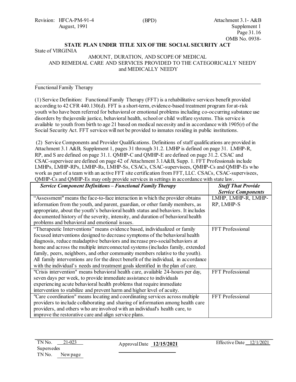# **STATE PLAN UNDER TITLE XIX OF THE SOCIAL SECURITY ACT** State of VIRGINIA AMOUNT, DURATION, AND SCOPE OF MEDICAL

# AND REMEDIAL CARE AND SERVICES PROVIDED TO THE CATEGORICALLY NEEDY and MEDICALLY NEEDY

# Functional Family Therapy

(1) Service Definition: Functional Family Therapy (FFT) is a rehabilitative services benefit provided according to 42 CFR 440.130(d). FFT is a short-term, evidence-based treatment program for at-risk youth who have been referred for behavioral or emotional problems including co-occurring substance use disorders by thejuvenile justice, behavioral health, school or child welfare systems. This service is available to youth from birth to age 21 based on medical necessity and in accordance with 1905(r) of the Social Security Act. FFT services will not be provided to inmates residing in public institutions.

(2) Service Components and Provider Qualifications. Definitions of staff qualifications are provided in Attachment 3.1 A&B, Supplement 1, pages 31 through 31.2. LMHP is defined on page 31. LMHP-R, RP, and S are defined on page 31.1. QMHP-C and QMHP-E are defined on page 31.2. CSAC and CSAC-supervisee are defined on page 42 of Attachment 3.1A&B, Supp. 1. FFT Professionals include LMHPs, LMHP-RPs, LMHP-Rs, LMHP-Ss, CSACs, CSAC-supervisees, QMHP-Cs and QMHP-Es who work as part of a team with an active FFT site certification from FFT, LLC. CSACs, CSAC-supervisees, QMHP-Cs and QMHP-Es may only provide services in settings in accordance with state law.

| <b>Service Component Definitions - Functional Family Therapy</b>                     | <b>Staff That Provide</b> |
|--------------------------------------------------------------------------------------|---------------------------|
|                                                                                      | <b>Service Components</b> |
| "Assessment" means the face-to-face interaction in which the provider obtains        | LMHP, LMHP-R, LMHP-       |
| information from the youth, and parent, guardian, or other family members, as        | RP, LMHP-S                |
| appropriate, about the youth's behavioral health status and behaviors. It includes   |                           |
| documented history of the severity, intensity, and duration of behavioral health     |                           |
| problems and behavioral and emotional issues.                                        |                           |
| "Therapeutic Interventions" means evidence based, individualized or family           | FFT Professional          |
| focused interventions designed to decrease symptoms of the behavioral health         |                           |
| diagnosis, reduce maladaptive behaviors and increase pro-social behaviors at         |                           |
| home and across the multiple interconnected systems (includes family, extended       |                           |
| family, peers, neighbors, and other community members relative to the youth).        |                           |
| All family interventions are for the direct benefit of the individual, in accordance |                           |
| with the individual's needs and treatment goals identified in the plan of care.      |                           |
| "Crisis intervention" means behavioral health care, available 24-hours per day,      | FFT Professional          |
| seven days per week, to provide immediate assistance to individuals                  |                           |
| experiencing acute behavioral health problems that require immediate                 |                           |
| intervention to stabilize and prevent harm and higher level of acuity.               |                           |
| "Care coordination" means locating and coordinating services across multiple         | FFT Professional          |
| providers to include collaborating and sharing of information among health care      |                           |
| providers, and others who are involved with an individual's health care, to          |                           |
| improve the restorative care and align service plans.                                |                           |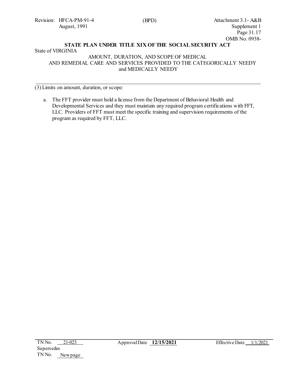# **STATE PLAN UNDER TITLE XIX OF THE SOCIAL SECURITY ACT** State of VIRGINIA AMOUNT, DURATION, AND SCOPE OF MEDICAL AND REMEDIAL CARE AND SERVICES PROVIDED TO THE CATEGORICALLY NEEDY and MEDICALLY NEEDY

(3) Limits on amount, duration, or scope:

a. The FFT provider must hold a license from the Department of Behavioral Health and Developmental Services and they must maintain any required program certifications with FFT, LLC. Providers of FFT must meet the specific training and supervision requirements of the program as required by FFT, LLC.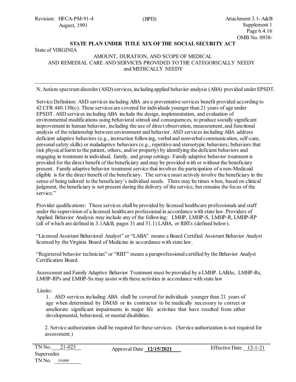# **STATE PLAN UNDER TITLE XIX OF THE SOCIAL SECURITY ACT** State of VIRGINIA

## AMOUNT, DURATION, AND SCOPE OF MEDICAL AND REMEDIAL CARE AND SERVICES PROVIDED TOTHE CATEGORICALLY NEEDY and MEDICALLY NEEDY

N. Autism spectrum disorder (ASD) services, including applied behavior analysis (ABA) provided under EPSDT.

Service Definition: ASD services including ABA are a preventative services benefit provided according to 42 CFR 440.130(c). These services are covered for individuals younger than 21 years of age under EPSDT. ASD services including ABA include the design, implementation, and evaluation of environmental modifications using behavioral stimuli and consequences, to produce socially significant improvement in human behavior, including the use of direct observation, measurement, and functional analysis of the relationship between environment and behavior. ASD services including ABA address deficient adaptive behaviors (e.g., instruction following, verbal and nonverbal communication, self-care, personal safety skills) or maladaptive behaviors (e.g., repetitive and stereotypic behaviors; behaviors that risk physical harm to the patient, others, and/or property) by identifying the deficient behaviors and engaging in treatment in individual, family, and group settings. Family adaptive behavior treatment is provided for the direct benefit of the beneficiary and may be provided with or without the beneficiary present. Family adaptive behavior treatment service that involves the participation of a non-Medicaid eligible is for the direct benefit of the beneficiary. The service must actively involve the beneficiary in the sense of being tailored to the beneficiary's individual needs. There may be times when, based on clinical judgment, the beneficiary is not present during the delivery of the service, but remains the focus of the service."

Provider qualifications: These services shall be provided by licensed healthcare professionals and staff under the supervision of a licensed healthcare professional in accordance with state law. Providers of Applied Behavior Analysis may include any of the following: LMHP, LMHP-S, LMHP-R, LMHP-RP (all of which are defined in 3.1A&B, pages 31 and 31.1) LABA, or RBTs (defined below).

"Licensed Assistant Behavioral Analyst" or "LABA" means a Board Certified Assistant Behavior Analyst licensed by the Virginia Board of Medicine in accordance with state law.

"Registered behavior technician" or "RBT" means a paraprofessional certified by the Behavior Analyst Certification Board.

Assessment and Family Adaptive Behavior Treatment must be provided by a LMHP. LABAs, LMHP-Rs, LMHP-RPs and LMHP-Ss may assist with these activities in accordance with state law

Limits:

1. ASD services including ABA shall be covered for individuals younger than 21 years of age when determined by DMAS or its contractor to be medically necessary to correct or ameliorate significant impairments in major life activities that have resulted from either developmental, behavioral, or mental disabilities.

2. Service authorization shall be required for these services. (Service authorization is not required for assessment.)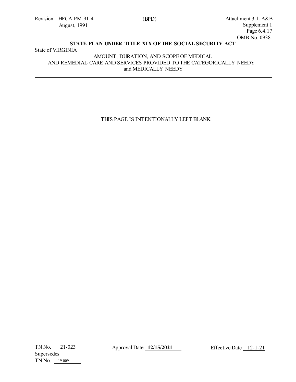# **STATE PLAN UNDER TITLE XIX OF THE SOCIAL SECURITY ACT** State of VIRGINIA

AMOUNT, DURATION, AND SCOPE OF MEDICAL AND REMEDIAL CARE AND SERVICES PROVIDED TOTHE CATEGORICALLY NEEDY and MEDICALLY NEEDY

# THIS PAGE IS INTENTIONALLY LEFT BLANK.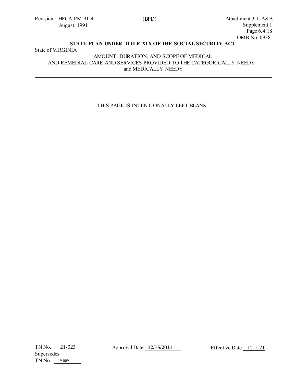# **STATE PLAN UNDER TITLE XIX OF THE SOCIAL SECURITY ACT** State of VIRGINIA

# AMOUNT, DURATION, AND SCOPE OF MEDICAL AND REMEDIAL CARE AND SERVICES PROVIDED TOTHE CATEGORICALLY NEEDY and MEDICALLY NEEDY

# THIS PAGE IS INTENTIONALLY LEFT BLANK.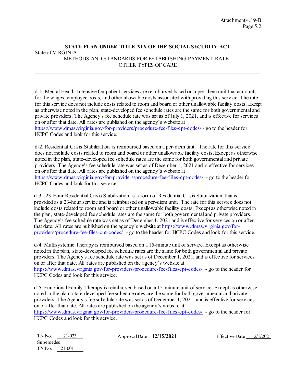### **STATE PLAN UNDER TITLE XIX OF THE SOCIAL SECURITY ACT** State of VIRGINIA METHODS AND STANDARDS FOR ESTABLISHING PAYMENT RATE - OTHER TYPES OF CARE

d-1. Mental Health Intensive Outpatient services are reimbursed based on a per-diem unit that accounts for the wages, employee costs, and other allowable costs associated with providing this service. The rate for this service does not include costs related to room and board or other unallowable facility costs. Except as otherwise noted in the plan, state-developed fee schedule rates are the same for both governmental and private providers. The Agency's fee schedule rate was set as of July 1, 2021, and is effective for services on or after that date. All rates are published on the agency's website at <https://www.dmas.virginia.gov/for-providers/procedure-fee-files-cpt-codes/> - go to the header for HCPC Codes and look for this service.

d-2. Residential Crisis Stabilization is reimbursed based on a per-diem unit. The rate for this service does not include costs related to room and board or other unallowable facility costs. Except as otherwise noted in the plan, state-developed fee schedule rates are the same for both governmental and private providers. The Agency's fee schedule rate was set as of December 1, 2021 and is effective for services on or after that date. All rates are published on the agency's website at <https://www.dmas.virginia.gov/for-providers/procedure-fee-files-cpt-codes/> - go to the header for HCPC Codes and look for this service.

d-3. 23-Hour Residential Crisis Stabilization is a form of Residential Crisis Stabilization that is provided as a 23-hour service and is reimbursed on a per-diem unit. The rate for this service does not include costs related to room and board or other unallowable facility costs. Except as otherwise noted in the plan, state-developed fee schedule rates are the same for both governmental and private providers. The Agency's fee schedule rate was set as of December 1, 2021 and is effective for services on or after that date. All rates are published on the agency's website a[t https://www.dmas.virginia.gov/for](https://www.dmas.virginia.gov/for-providers/procedure-fee-files-cpt-codes/)[providers/procedure-fee-files-cpt-codes/](https://www.dmas.virginia.gov/for-providers/procedure-fee-files-cpt-codes/) - go to the header for HCPC Codes and look for this service.

d-4. Multisystemic Therapy is reimbursed based on a 15-minute unit of service. Except as otherwise noted in the plan, state-developed fee schedule rates are the same for both governmental and private providers. The Agency's fee schedule rate was set as of December 1, 2021, and is effective for services on or after that date. All rates are published on the agency's website at <https://www.dmas.virginia.gov/for-providers/procedure-fee-files-cpt-codes/> - go to the header for HCPC Codes and look for this service.

d-5. Functional Family Therapy is reimbursed based on a 15-minute unit of service. Except as otherwise noted in the plan, state-developed fee schedule rates are the same for both governmental and private providers. The Agency's fee schedule rate was set as of December 1, 2021, and is effective for services on or after that date. All rates are published on the agency's website at <https://www.dmas.virginia.gov/for-providers/procedure-fee-files-cpt-codes/> - go to the header for HCPC Codes and look for this service.

Approval Date **12/15/2021** Effective Date 12/1/2021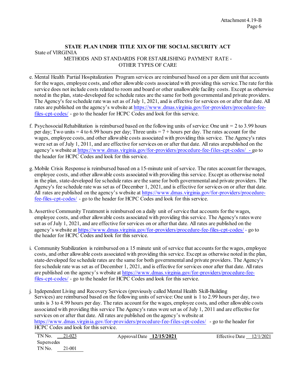# **STATE PLAN UNDER TITLE XIX OF THE SOCIAL SECURITY ACT** State of VIRGINIA METHODS AND STANDARDS FOR ESTABLISHING PAYMENT RATE - OTHER TYPES OF CARE

- e. Mental Health Partial Hospitalization Program services are reimbursed based on a per diem unit that accounts for the wages, employee costs, and other allowable costs associated with providing this service.The rate for this service does not include costs related to room and board or other unallowable facility costs. Except as otherwise noted in the plan, state-developed fee schedule rates are the same for both governmental and private providers. The Agency's fee schedule rate was set as of July 1, 2021, and is effective for services on or after that date. All rates are published on the agency's website at [https://www.dmas.virginia.gov/for-providers/procedure-fee](https://www.dmas.virginia.gov/for-providers/procedure-fee-files-cpt-codes/)[files-cpt-codes/](https://www.dmas.virginia.gov/for-providers/procedure-fee-files-cpt-codes/) - go to the header for HCPC Codes and look for this service.
- f. Psychosocial Rehabilitation is reimbursed based on the following units of service: One unit  $= 2$  to 3.99 hours per day; Two units = 4 to 6.99 hours per day; Three units =  $7 +$  hours per day. The rates account for the wages, employee costs, and other allowable costs associated with providing this service. The Agency's rates were set as of July 1, 2011, and are effective for services on or after that date. All rates arepublished on the agency's website at [https://www.dmas.virginia.gov/for-providers/procedure-fee-files-cpt-codes/ -](https://www.dmas.virginia.gov/for-providers/procedure-fee-files-cpt-codes/%20-) go to the header for HCPC Codes and look for this service.
- g. Mobile Crisis Response is reimbursed based on a 15-minute unit of service. The rates accountfor thewages, employee costs, and other allowable costs associated with providing this service. Except as otherwise noted in the plan, state-developed fee schedule rates are the same for both governmental and private providers. The Agency's fee schedule rate was set as of December 1, 2021, and is effective for services on or after that date. All rates are published on the agency's website at [https://www.dmas.virginia.gov/for-providers/procedure](https://www.dmas.virginia.gov/for-providers/procedure-fee-files-cpt-codes/)[fee-files-cpt-codes/](https://www.dmas.virginia.gov/for-providers/procedure-fee-files-cpt-codes/) - go to the header for HCPC Codes and look for this service.
- h. Assertive Community Treatment is reimbursed on a daily unit of service that accounts for the wages, employee costs, and other allowable costs associated with providing this service. The Agency's rates were set as of July 1, 2021, and are effective for services on or afterthat date. All rates are published on the agency's website at [https://www.dmas.virginia.gov/for-providers/procedure-fee-files-cpt-codes/](https://www.dmas.virginia.gov/for-providers/procedure-fee-files-cpt-codes/%20-) - go to the header for HCPC Codes and look for this service.
- i. Community Stabilization is reimbursed on a 15 minute unit of service that accounts for the wages, employee costs, and other allowable costs associated with providing this service. Except as otherwise noted in the plan, state-developed fee schedule rates are the same for both governmental and private providers. The Agency's fee schedule rate was set as of December 1, 2021, and is effective for services onor after that date. All rates are published on the agency's website at [https://www.dmas.virginia.gov/for-providers/procedure-fee](https://www.dmas.virginia.gov/for-providers/procedure-fee-files-cpt-codes/)[files-cpt-codes/](https://www.dmas.virginia.gov/for-providers/procedure-fee-files-cpt-codes/) - go to the header for HCPC Codes and look for this service.
- j. Independent Living and Recovery Services (previously called Mental Health Skill-Building Services) are reimbursed based on the following units of service: One unit is 1 to 2.99 hours per day, two units is 3 to 4.99 hours per day. The rates accountfor the wages, employee costs, and other allowable costs associated with providing this service The Agency's rates were set as of July 1, 2011 and are effective for services on or after that date. All rates are published on the agency's website at <https://www.dmas.virginia.gov/for-providers/procedure-fee-files-cpt-codes/> - go to the header for HCPC Codes and look for this service.

| TN <sub>N</sub> o.<br>21-023 | ApprovalDate 12/15/2021 | 12/1/2021<br>Effective Date |
|------------------------------|-------------------------|-----------------------------|
| Supersedes                   |                         |                             |
| 21-001<br>TN <sub>N</sub> o. |                         |                             |